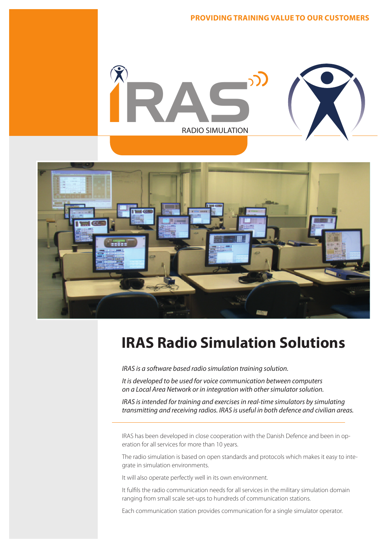



# **IRAS Radio Simulation Solutions**<br>IRAS is a software based radio simulation training solution.<br>It is developed to be used for voice communication between computers

*IRAS is a software based radio simulation training solution.*

*It is developed to be used for voice communication between computers n is developed to be used for voice communication between computers*<br>on a Local Area Network or in integration with other simulator solution.

*IRAS is intended for training and exercises in real-time simulators by simulating transmitting and receiving radios. IRAS is useful in both defence and civilian areas.*

IRAS has been developed in close cooperation with the Danish Defence and been in operation for all services for more than 10 years. RAS has been developed in close cooperation wit<br>eration for all services for more than 10 years.<br>The radio simulation is based on open standards a<br>grate in simulation environments.

The radio simulation is based on open standards and protocols which makes it easy to integrate in simulation environments.

It will also operate perfectly well in its own environment.

It fulfils the radio communication needs for all services in the military simulation domain ranging from small scale set-ups to hundreds of communication stations.  $\mathbf{S}$ 

Each communication station provides communication for a single simulator operator.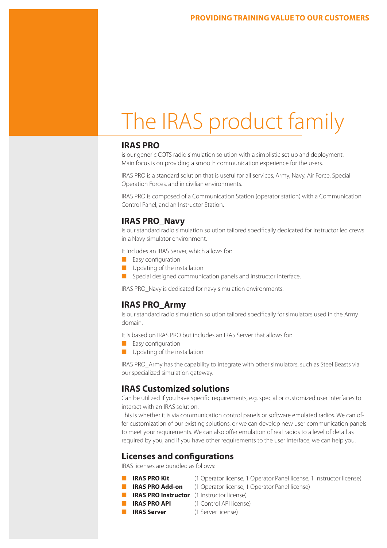## The IRAS product family

#### **IRAS PRO**

is our generic COTS radio simulation solution with a simplistic set up and deployment. Main focus is on providing a smooth communication experience for the users.

IRAS PRO is a standard solution that is useful for all services, Army, Navy, Air Force, Special Operation Forces, and in civilian environments.

IRAS PRO is composed of a Communication Station (operator station) with a Communication Control Panel, and an Instructor Station.

#### **IRAS PRO\_Navy**

is our standard radio simulation solution tailored specifically dedicated for instructor led crews in a Navy simulator environment.

It includes an IRAS Server, which allows for:

- Easy configuration
- Updating of the installation
- Special designed communication panels and instructor interface.

IRAS PRO\_Navy is dedicated for navy simulation environments.

#### **IRAS PRO\_Army**

is our standard radio simulation solution tailored specifically for simulators used in the Army domain.

It is based on IRAS PRO but includes an IRAS Server that allows for:

- Easy configuration
- Updating of the installation.

IRAS PRO\_Army has the capability to integrate with other simulators, such as Steel Beasts via our specialized simulation gateway.

#### **IRAS Customized solutions**

Can be utilized if you have specific requirements, e.g. special or customized user interfaces to interact with an IRAS solution.

This is whether it is via communication control panels or software emulated radios. We can offer customization of our existing solutions, or we can develop new user communication panels to meet your requirements. We can also offer emulation of real radios to a level of detail as required by you, and if you have other requirements to the user interface, we can help you.

#### **Licenses and configurations**

IRAS licenses are bundled as follows:

- 
- **IRAS PRO Kit** (1 Operator license, 1 Operator Panel license, 1 Instructor license)
- **IRAS PRO Add-on** (1 Operator license, 1 Operator Panel license)
- **E IRAS PRO Instructor** (1 Instructor license)
- **IRAS PRO API** (1 Control API license)
- 
- **IRAS Server** (1 Server license)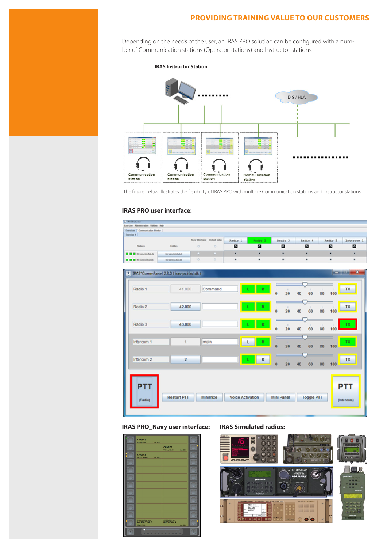#### **PROVIDING TRAINING VALUE TO OUR CUSTOMERS**

Depending on the needs of the user, an IRAS PRO solution can be configured with a number of Communication stations (Operator stations) and Instructor stations.

**IRAS Instructor Station**



The figure below illustrates the flexibility of IRAS PRO with multiple Communication stations and Instructor stations

#### **IRAS PRO user interface:**

| <b>F. BAVInductor</b><br>Exercise Administration Utilities Help |                                        |                |               |                         |         |                           |                    |                           |                                    |
|-----------------------------------------------------------------|----------------------------------------|----------------|---------------|-------------------------|---------|---------------------------|--------------------|---------------------------|------------------------------------|
| Exercises   Communication Monitor<br>Exercise 1                 |                                        |                |               |                         |         |                           |                    |                           |                                    |
|                                                                 |                                        | Show Mei Panel | Default Setup | Radio 1                 | Radio 2 | Radio 3                   | Radio 4            | Radio 5                   | Intercom <sub>1</sub>              |
| <b>Stations</b>                                                 | Entities                               | o              | ۰             | ø                       | $\circ$ | ø                         | ø                  | $\circ$                   | ø                                  |
| <b>Mr simclet Rel.Ox</b>                                        | <b>Intr</b> Administration (dis-       | o              | o.            | ٠                       | ٠       | ٠                         | ٠                  | ٠                         | ×                                  |
| <b>DD D</b> an annual data                                      | Mr.saniksLifeLife                      | $\circ$        | $\circ$       | ٠                       | ٠       | ٠                         | ٠                  | ٠                         | ٠                                  |
| ц                                                               | IRAS*CommPanel 2.3.0 (iras-pc.ifad.dk) |                |               |                         |         |                           |                    |                           | $\mathbf x$<br><b>BOOK AND AND</b> |
| Radio 1                                                         | 41,000                                 |                | Command       |                         | R<br>ι  | $\ddot{\mathbf{0}}$<br>20 | 40<br>60           | 80<br>100                 | TX                                 |
| Radio 2                                                         | 42,000                                 |                |               |                         | R       | л<br>$\mathbf{0}$<br>20   | п<br>٠<br>40<br>60 | ٠<br>80<br>100            | TX                                 |
| Radio 3                                                         | 43.000                                 |                |               |                         | R       | п<br>п<br>$\theta$<br>20  | 40<br>60           | $\mathbb{I}$<br>80<br>100 | TX.                                |
| Intercom 1                                                      | 1                                      | main           |               |                         | R       | o<br>20                   | 40<br>60           | ۵<br>100<br>80            | TX.                                |
| Intercom 2                                                      | 2                                      |                |               |                         | R       | ö<br>20                   | 40<br>60           | 80<br>100                 | TX                                 |
| <b>PTT</b><br>(Radio)                                           | <b>Restart PTT</b>                     |                | Minimize      | <b>Voice Activation</b> |         | <b>Mini Panel</b>         | <b>Toggle PTT</b>  |                           | <b>PTT</b><br>(Intercom)           |

#### **IRAS PRO\_Navy user interface: IRAS Simulated radios:**

HAN 01 **CHAN 03** tructor Intercom<br>STRUCTOR 3 Cubicle Intercon<br>IN TERCOM